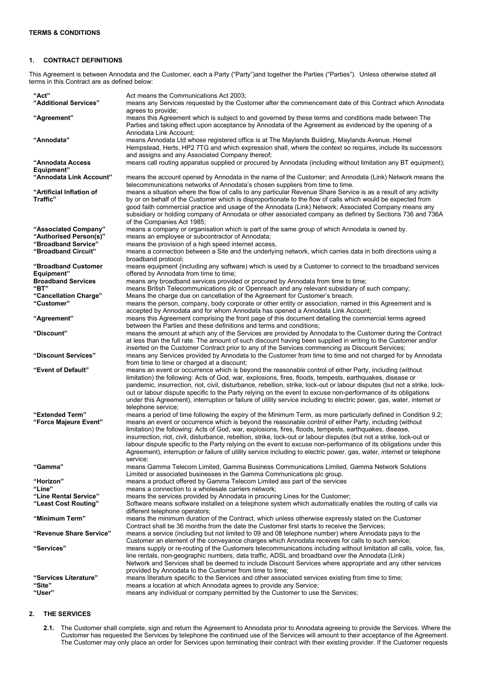# **1. CONTRACT DEFINITIONS**

This Agreement is between Annodata and the Customer, each a Party ("Party")and together the Parties ("Parties"). Unless otherwise stated all terms in this Contract are as defined below:

| "Act"                                         | Act means the Communications Act 2003;                                                                                                                                                                                                                                                                                                                                                                                                                                                                                                                                                                                                                                                                                   |
|-----------------------------------------------|--------------------------------------------------------------------------------------------------------------------------------------------------------------------------------------------------------------------------------------------------------------------------------------------------------------------------------------------------------------------------------------------------------------------------------------------------------------------------------------------------------------------------------------------------------------------------------------------------------------------------------------------------------------------------------------------------------------------------|
| "Additional Services"                         | means any Services requested by the Customer after the commencement date of this Contract which Annodata<br>agrees to provide;                                                                                                                                                                                                                                                                                                                                                                                                                                                                                                                                                                                           |
| "Agreement"                                   | means this Agreement which is subject to and governed by these terms and conditions made between The<br>Parties and taking effect upon acceptance by Annodata of the Agreement as evidenced by the opening of a<br>Annodata Link Account;                                                                                                                                                                                                                                                                                                                                                                                                                                                                                |
| "Annodata"                                    | means Annodata Ltd whose registered office is at The Maylands Building, Maylands Avenue, Hemel<br>Hempstead, Herts, HP2 7TG and which expression shall, where the context so requires, include its successors<br>and assigns and any Associated Company thereof;                                                                                                                                                                                                                                                                                                                                                                                                                                                         |
| "Annodata Access<br>Equipment"                | means call routing apparatus supplied or procured by Annodata (including without limitation any BT equipment);                                                                                                                                                                                                                                                                                                                                                                                                                                                                                                                                                                                                           |
| "Annodata Link Account"                       | means the account opened by Annodata in the name of the Customer; and Annodata (Link) Network means the<br>telecommunications networks of Annodata's chosen suppliers from time to time.                                                                                                                                                                                                                                                                                                                                                                                                                                                                                                                                 |
| "Artificial Inflation of                      | means a situation where the flow of calls to any particular Revenue Share Service is as a result of any activity                                                                                                                                                                                                                                                                                                                                                                                                                                                                                                                                                                                                         |
| Traffic"                                      | by or on behalf of the Customer which is disproportionate to the flow of calls which would be expected from<br>good faith commercial practice and usage of the Annodata (Link) Network; Associated Company means any<br>subsidiary or holding company of Annodata or other associated company as defined by Sections 736 and 736A<br>of the Companies Act 1985;                                                                                                                                                                                                                                                                                                                                                          |
| "Associated Company"                          | means a company or organisation which is part of the same group of which Annodata is owned by.                                                                                                                                                                                                                                                                                                                                                                                                                                                                                                                                                                                                                           |
| "Authorised Person(s)"                        | means an employee or subcontractor of Annodata;                                                                                                                                                                                                                                                                                                                                                                                                                                                                                                                                                                                                                                                                          |
| "Broadband Service"<br>"Broadband Circuit"    | means the provision of a high speed internet access,<br>means a connection between a Site and the underlying network, which carries data in both directions using a<br>broadband protocol;                                                                                                                                                                                                                                                                                                                                                                                                                                                                                                                               |
| "Broadband Customer<br>Equipment"             | means equipment (including any software) which is used by a Customer to connect to the broadband services<br>offered by Annodata from time to time;                                                                                                                                                                                                                                                                                                                                                                                                                                                                                                                                                                      |
| <b>Broadband Services</b>                     | means any broadband services provided or procured by Annodata from time to time;                                                                                                                                                                                                                                                                                                                                                                                                                                                                                                                                                                                                                                         |
| "BT"                                          | means British Telecommunications plc or Openreach and any relevant subsidiary of such company;                                                                                                                                                                                                                                                                                                                                                                                                                                                                                                                                                                                                                           |
| "Cancellation Charge"<br>"Customer"           | Means the charge due on cancellation of the Agreement for Customer's breach.<br>means the person, company, body corporate or other entity or association, named in this Agreement and is                                                                                                                                                                                                                                                                                                                                                                                                                                                                                                                                 |
|                                               | accepted by Annodata and for whom Annodata has opened a Annodata Link Account;                                                                                                                                                                                                                                                                                                                                                                                                                                                                                                                                                                                                                                           |
| "Agreement"                                   | means this Agreement comprising the front page of this document detailing the commercial terms agreed<br>between the Parties and these definitions and terms and conditions;                                                                                                                                                                                                                                                                                                                                                                                                                                                                                                                                             |
| "Discount"                                    | means the amount at which any of the Services are provided by Annodata to the Customer during the Contract<br>at less than the full rate. The amount of such discount having been supplied in writing to the Customer and/or<br>inserted on the Customer Contract prior to any of the Services commencing as Discount Services;                                                                                                                                                                                                                                                                                                                                                                                          |
| "Discount Services"                           | means any Services provided by Annodata to the Customer from time to time and not charged for by Annodata<br>from time to time or charged at a discount;                                                                                                                                                                                                                                                                                                                                                                                                                                                                                                                                                                 |
| "Event of Default"                            | means an event or occurrence which is beyond the reasonable control of either Party, including (without<br>limitation) the following: Acts of God, war, explosions, fires, floods, tempests, earthquakes, disease or<br>pandemic, insurrection, riot, civil, disturbance, rebellion, strike, lock-out or labour disputes (but not a strike, lock-<br>out or labour dispute specific to the Party relying on the event to excuse non-performance of its obligations<br>under this Agreement), interruption or failure of utility service including to electric power, gas, water, internet or<br>telephone service;                                                                                                       |
| "Extended Term"<br>"Force Majeure Event"      | means a period of time following the expiry of the Minimum Term, as more particularly defined in Condition 9.2;<br>means an event or occurrence which is beyond the reasonable control of either Party, including (without<br>limitation) the following: Acts of God, war, explosions, fires, floods, tempests, earthquakes, disease,<br>insurrection, riot, civil, disturbance, rebellion, strike, lock-out or labour disputes (but not a strike, lock-out or<br>labour dispute specific to the Party relying on the event to excuse non-performance of its obligations under this<br>Agreement), interruption or failure of utility service including to electric power, gas, water, internet or telephone<br>service; |
| "Gamma"                                       | means Gamma Telecom Limited, Gamma Business Communications Limited, Gamma Network Solutions<br>Limited or associated businesses in the Gamma Communications plc group.                                                                                                                                                                                                                                                                                                                                                                                                                                                                                                                                                   |
| "Horizon"                                     | means a product offered by Gamma Telecom Limited ass part of the services                                                                                                                                                                                                                                                                                                                                                                                                                                                                                                                                                                                                                                                |
| "Line"                                        | means a connection to a wholesale carriers network;                                                                                                                                                                                                                                                                                                                                                                                                                                                                                                                                                                                                                                                                      |
| "Line Rental Service"<br>"Least Cost Routing" | means the services provided by Annodata in procuring Lines for the Customer;<br>Software means software installed on a telephone system which automatically enables the routing of calls via                                                                                                                                                                                                                                                                                                                                                                                                                                                                                                                             |
|                                               | different telephone operators;                                                                                                                                                                                                                                                                                                                                                                                                                                                                                                                                                                                                                                                                                           |
| "Minimum Term"                                | means the minimum duration of the Contract, which unless otherwise expressly stated on the Customer<br>Contract shall be 36 months from the date the Customer first starts to receive the Services;                                                                                                                                                                                                                                                                                                                                                                                                                                                                                                                      |
| "Revenue Share Service"                       | means a service (including but not limited to 09 and 08 telephone number) where Annodata pays to the<br>Customer an element of the conveyance charges which Annodata receives for calls to such service;                                                                                                                                                                                                                                                                                                                                                                                                                                                                                                                 |
| "Services"                                    | means supply or re-routing of the Customers telecommunications including without limitation all calls, voice, fax,<br>line rentals, non-geographic numbers, data traffic, ADSL and broadband over the Annodata (Link)<br>Network and Services shall be deemed to include Discount Services where appropriate and any other services<br>provided by Annodata to the Customer from time to time;                                                                                                                                                                                                                                                                                                                           |
| "Services Literature"                         | means literature specific to the Services and other associated services existing from time to time;                                                                                                                                                                                                                                                                                                                                                                                                                                                                                                                                                                                                                      |
| "Site"                                        | means a location at which Annodata agrees to provide any Service;                                                                                                                                                                                                                                                                                                                                                                                                                                                                                                                                                                                                                                                        |
| "User"                                        | means any individual or company permitted by the Customer to use the Services;                                                                                                                                                                                                                                                                                                                                                                                                                                                                                                                                                                                                                                           |

# <span id="page-0-0"></span>**2. THE SERVICES**

**2.1.** The Customer shall complete, sign and return the Agreement to Annodata prior to Annodata agreeing to provide the Services. Where the Customer has requested the Services by telephone the continued use of the Services will amount to their acceptance of the Agreement. The Customer may only place an order for Services upon terminating their contract with their existing provider. If the Customer requests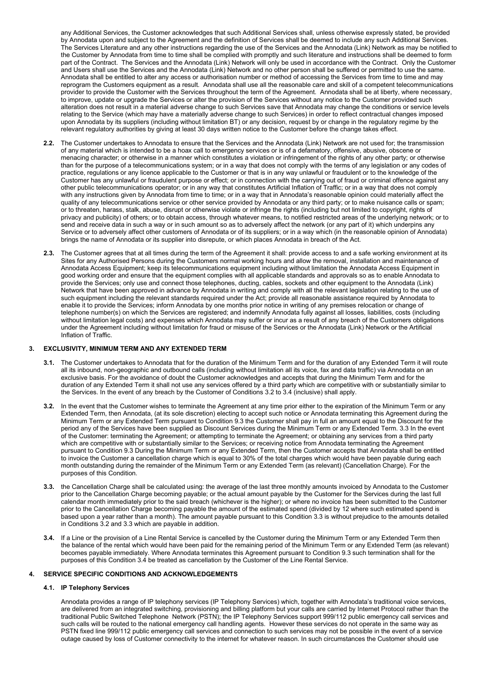any Additional Services, the Customer acknowledges that such Additional Services shall, unless otherwise expressly stated, be provided by Annodata upon and subject to the Agreement and the definition of Services shall be deemed to include any such Additional Services. The Services Literature and any other instructions regarding the use of the Services and the Annodata (Link) Network as may be notified to the Customer by Annodata from time to time shall be complied with promptly and such literature and instructions shall be deemed to form part of the Contract. The Services and the Annodata (Link) Network will only be used in accordance with the Contract. Only the Customer and Users shall use the Services and the Annodata (Link) Network and no other person shall be suffered or permitted to use the same. Annodata shall be entitled to alter any access or authorisation number or method of accessing the Services from time to time and may reprogram the Customers equipment as a result. Annodata shall use all the reasonable care and skill of a competent telecommunications provider to provide the Customer with the Services throughout the term of the Agreement. Annodata shall be at liberty, where necessary, to improve, update or upgrade the Services or alter the provision of the Services without any notice to the Customer provided such alteration does not result in a material adverse change to such Services save that Annodata may change the conditions or service levels relating to the Service (which may have a materially adverse change to such Services) in order to reflect contractual changes imposed upon Annodata by its suppliers (including without limitation BT) or any decision, request by or change in the regulatory regime by the relevant regulatory authorities by giving at least 30 days written notice to the Customer before the change takes effect.

- **2.2.** The Customer undertakes to Annodata to ensure that the Services and the Annodata (Link) Network are not used for; the transmission of any material which is intended to be a hoax call to emergency services or is of a defamatory, offensive, abusive, obscene or menacing character; or otherwise in a manner which constitutes a violation or infringement of the rights of any other party; or otherwise than for the purpose of a telecommunications system; or in a way that does not comply with the terms of any legislation or any codes of practice, regulations or any licence applicable to the Customer or that is in any way unlawful or fraudulent or to the knowledge of the Customer has any unlawful or fraudulent purpose or effect; or in connection with the carrying out of fraud or criminal offence against any other public telecommunications operator; or in any way that constitutes Artificial Inflation of Traffic; or in a way that does not comply with any instructions given by Annodata from time to time; or in a way that in Annodata's reasonable opinion could materially affect the quality of any telecommunications service or other service provided by Annodata or any third party; or to make nuisance calls or spam; or to threaten, harass, stalk, abuse, disrupt or otherwise violate or infringe the rights (including but not limited to copyright, rights of privacy and publicity) of others; or to obtain access, through whatever means, to notified restricted areas of the underlying network; or to send and receive data in such a way or in such amount so as to adversely affect the network (or any part of it) which underpins any Service or to adversely affect other customers of Annodata or of its suppliers; or in a way which (in the reasonable opinion of Annodata) brings the name of Annodata or its supplier into disrepute, or which places Annodata in breach of the Act.
- **2.3.** The Customer agrees that at all times during the term of the Agreement it shall: provide access to and a safe working environment at its Sites for any Authorised Persons during the Customers normal working hours and allow the removal, installation and maintenance of Annodata Access Equipment; keep its telecommunications equipment including without limitation the Annodata Access Equipment in good working order and ensure that the equipment complies with all applicable standards and approvals so as to enable Annodata to provide the Services; only use and connect those telephones, ducting, cables, sockets and other equipment to the Annodata (Link) Network that have been approved in advance by Annodata in writing and comply with all the relevant legislation relating to the use of such equipment including the relevant standards required under the Act; provide all reasonable assistance required by Annodata to enable it to provide the Services; inform Annodata by one months prior notice in writing of any premises relocation or change of telephone number(s) on which the Services are registered; and indemnify Annodata fully against all losses, liabilities, costs (including without limitation legal costs) and expenses which Annodata may suffer or incur as a result of any breach of the Customers obligations under the Agreement including without limitation for fraud or misuse of the Services or the Annodata (Link) Network or the Artificial Inflation of Traffic.

# **3. EXCLUSIVITY, MINIMUM TERM AND ANY EXTENDED TERM**

- **3.1.** The Customer undertakes to Annodata that for the duration of the Minimum Term and for the duration of any Extended Term it will route all its inbound, non-geographic and outbound calls (including without limitation all its voice, fax and data traffic) via Annodata on an exclusive basis. For the avoidance of doubt the Customer acknowledges and accepts that during the Minimum Term and for the duration of any Extended Term it shall not use any services offered by a third party which are competitive with or substantially similar to the Services. In the event of any breach by the Customer of Condition[s 3.2](#page-1-0) to [3.4](#page-1-1) (inclusive) shall apply.
- <span id="page-1-0"></span>**3.2.** In the event that the Customer wishes to terminate the Agreement at any time prior either to the expiration of the Minimum Term or any Extended Term, then Annodata, (at its sole discretion) electing to accept such notice or Annodata terminating this Agreement during the Minimum Term or any Extended Term pursuant to Condition [9.3](#page-4-0) the Customer shall pay in full an amount equal to the Discount for the period any of the Services have been supplied as Discount Services during the Minimum Term or any Extended Term. 3.3 In the event of the Customer: terminating the Agreement; or attempting to terminate the Agreement; or obtaining any services from a third party which are competitive with or substantially similar to the Services; or receiving notice from Annodata terminating the Agreement pursuant to Condition [9.3](#page-4-0) During the Minimum Term or any Extended Term, then the Customer accepts that Annodata shall be entitled to invoice the Customer a cancellation charge which is equal to 30% of the total charges which would have been payable during each month outstanding during the remainder of the Minimum Term or any Extended Term (as relevant) (Cancellation Charge). For the purposes of this Condition.
- <span id="page-1-2"></span>**3.3.** the Cancellation Charge shall be calculated using: the average of the last three monthly amounts invoiced by Annodata to the Customer prior to the Cancellation Charge becoming payable; or the actual amount payable by the Customer for the Services during the last full calendar month immediately prior to the said breach (whichever is the higher); or where no invoice has been submitted to the Customer prior to the Cancellation Charge becoming payable the amount of the estimated spend (divided by 12 where such estimated spend is based upon a year rather than a month). The amount payable pursuant to this Conditio[n 3.3](#page-1-2) is without prejudice to the amounts detailed in Conditions [3.2](#page-1-0) and [3.3](#page-1-2) which are payable in addition.
- <span id="page-1-1"></span>**3.4.** If a Line or the provision of a Line Rental Service is cancelled by the Customer during the Minimum Term or any Extended Term then the balance of the rental which would have been paid for the remaining period of the Minimum Term or any Extended Term (as relevant) becomes payable immediately. Where Annodata terminates this Agreement pursuant to Condition [9.3](#page-4-0) such termination shall for the purposes of this Conditio[n 3.4](#page-1-1) be treated as cancellation by the Customer of the Line Rental Service.

### **4. SERVICE SPECIFIC CONDITIONS AND ACKNOWLEDGEMENTS**

#### **4.1. IP Telephony Services**

Annodata provides a range of IP telephony services (IP Telephony Services) which, together with Annodata's traditional voice services, are delivered from an integrated switching, provisioning and billing platform but your calls are carried by Internet Protocol rather than the traditional Public Switched Telephone Network (PSTN); the IP Telephony Services support 999/112 public emergency call services and such calls will be routed to the national emergency call handling agents. However these services do not operate in the same way as PSTN fixed line 999/112 public emergency call services and connection to such services may not be possible in the event of a service outage caused by loss of Customer connectivity to the internet for whatever reason. In such circumstances the Customer should use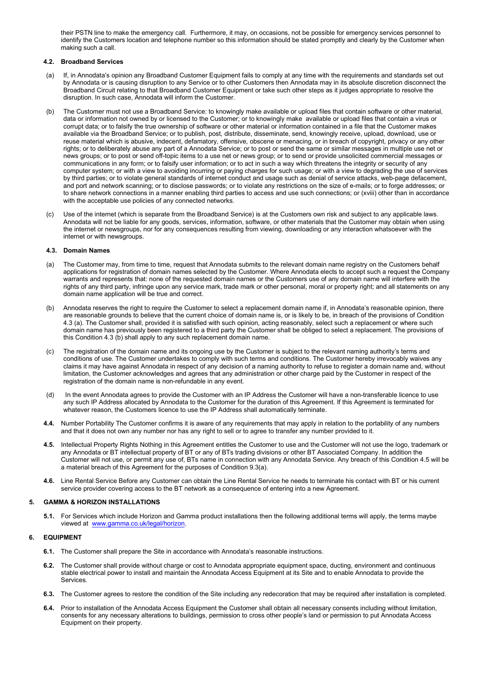their PSTN line to make the emergency call. Furthermore, it may, on occasions, not be possible for emergency services personnel to identify the Customers location and telephone number so this information should be stated promptly and clearly by the Customer when making such a call.

# **4.2. Broadband Services**

- (a) If, in Annodata's opinion any Broadband Customer Equipment fails to comply at any time with the requirements and standards set out by Annodata or is causing disruption to any Service or to other Customers then Annodata may in its absolute discretion disconnect the Broadband Circuit relating to that Broadband Customer Equipment or take such other steps as it judges appropriate to resolve the disruption. In such case, Annodata will inform the Customer.
- (b) The Customer must not use a Broadband Service: to knowingly make available or upload files that contain software or other material, data or information not owned by or licensed to the Customer; or to knowingly make available or upload files that contain a virus or corrupt data; or to falsify the true ownership of software or other material or information contained in a file that the Customer makes available via the Broadband Service; or to publish, post, distribute, disseminate, send, knowingly receive, upload, download, use or reuse material which is abusive, indecent, defamatory, offensive, obscene or menacing, or in breach of copyright, privacy or any other rights; or to deliberately abuse any part of a Annodata Service; or to post or send the same or similar messages in multiple use net or news groups; or to post or send off-topic items to a use net or news group; or to send or provide unsolicited commercial messages or communications in any form; or to falsify user information; or to act in such a way which threatens the integrity or security of any computer system; or with a view to avoiding incurring or paying charges for such usage; or with a view to degrading the use of services by third parties; or to violate general standards of internet conduct and usage such as denial of service attacks, web-page defacement, and port and network scanning; or to disclose passwords; or to violate any restrictions on the size of e-mails; or to forge addresses; or to share network connections in a manner enabling third parties to access and use such connections; or (xviii) other than in accordance with the acceptable use policies of any connected networks.
- (c) Use of the internet (which is separate from the Broadband Service) is at the Customers own risk and subject to any applicable laws. Annodata will not be liable for any goods, services, information, software, or other materials that the Customer may obtain when using the internet or newsgroups, nor for any consequences resulting from viewing, downloading or any interaction whatsoever with the internet or with newsgroups.

### <span id="page-2-0"></span>**4.3. Domain Names**

- (a) The Customer may, from time to time, request that Annodata submits to the relevant domain name registry on the Customers behalf applications for registration of domain names selected by the Customer. Where Annodata elects to accept such a request the Company warrants and represents that: none of the requested domain names or the Customers use of any domain name will interfere with the rights of any third party, infringe upon any service mark, trade mark or other personal, moral or property right; and all statements on any domain name application will be true and correct.
- (b) Annodata reserves the right to require the Customer to select a replacement domain name if, in Annodata's reasonable opinion, there are reasonable grounds to believe that the current choice of domain name is, or is likely to be, in breach of the provisions of Condition [4.3](#page-2-0) (a). The Customer shall, provided it is satisfied with such opinion, acting reasonably, select such a replacement or where such domain name has previously been registered to a third party the Customer shall be obliged to select a replacement. The provisions of this Conditio[n 4.3](#page-2-0) (b) shall apply to any such replacement domain name.
- (c) The registration of the domain name and its ongoing use by the Customer is subject to the relevant naming authority's terms and conditions of use. The Customer undertakes to comply with such terms and conditions. The Customer hereby irrevocably waives any claims it may have against Annodata in respect of any decision of a naming authority to refuse to register a domain name and, without limitation, the Customer acknowledges and agrees that any administration or other charge paid by the Customer in respect of the registration of the domain name is non-refundable in any event.
- (d) In the event Annodata agrees to provide the Customer with an IP Address the Customer will have a non-transferable licence to use any such IP Address allocated by Annodata to the Customer for the duration of this Agreement. If this Agreement is terminated for whatever reason, the Customers licence to use the IP Address shall automatically terminate.
- **4.4.** Number Portability The Customer confirms it is aware of any requirements that may apply in relation to the portability of any numbers and that it does not own any number nor has any right to sell or to agree to transfer any number provided to it.
- <span id="page-2-1"></span>**4.5.** Intellectual Property Rights Nothing in this Agreement entitles the Customer to use and the Customer will not use the logo, trademark or any Annodata or BT intellectual property of BT or any of BTs trading divisions or other BT Associated Company. In addition the Customer will not use, or permit any use of, BTs name in connection with any Annodata Service. Any breach of this Conditio[n 4.5](#page-2-1) will be a material breach of this Agreement for the purposes of Condition 9.3(a).
- **4.6.** Line Rental Service Before any Customer can obtain the Line Rental Service he needs to terminate his contact with BT or his current service provider covering access to the BT network as a consequence of entering into a new Agreement.

### **5. GAMMA & HORIZON INSTALLATIONS**

**5.1.** For Services which include Horizon and Gamma product installations then the following additional terms will apply, the terms maybe viewed at [www.gamma.co.uk/legal/horizon.](https://www.gamma.co.uk/legal/?utm_term=&utm_campaign=G%7CUK%7CDSA&utm_source=adwords&utm_medium=ppc&hsa_kw=&hsa_net=adwords&hsa_ad=469019085525&hsa_tgt=dsa-1113114621758&hsa_acc=1752624229&hsa_cam=1780533584&hsa_src=g&hsa_ver=3&hsa_mt=b&hsa_grp=112643297720&gclid=Cj0KCQiAnKeCBhDPARIsAFDTLTLEj4jdn41ZCCUMyxjp4ivE3orqiPQhOT1_Fnwgz56Pkl2aqlDo_ZcaAu4WEALw_wcB)

### **6. EQUIPMENT**

- **6.1.** The Customer shall prepare the Site in accordance with Annodata's reasonable instructions.
- **6.2.** The Customer shall provide without charge or cost to Annodata appropriate equipment space, ducting, environment and continuous stable electrical power to install and maintain the Annodata Access Equipment at its Site and to enable Annodata to provide the Services.
- **6.3.** The Customer agrees to restore the condition of the Site including any redecoration that may be required after installation is completed.
- **6.4.** Prior to installation of the Annodata Access Equipment the Customer shall obtain all necessary consents including without limitation, consents for any necessary alterations to buildings, permission to cross other people's land or permission to put Annodata Access Equipment on their property.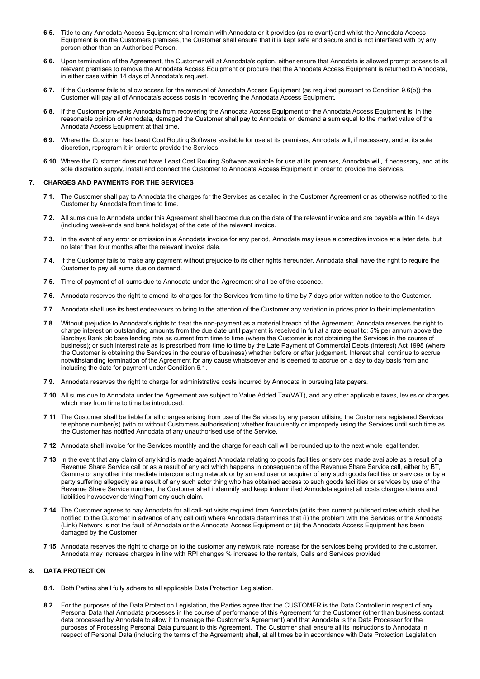- **6.5.** Title to any Annodata Access Equipment shall remain with Annodata or it provides (as relevant) and whilst the Annodata Access Equipment is on the Customers premises, the Customer shall ensure that it is kept safe and secure and is not interfered with by any person other than an Authorised Person.
- **6.6.** Upon termination of the Agreement, the Customer will at Annodata's option, either ensure that Annodata is allowed prompt access to all relevant premises to remove the Annodata Access Equipment or procure that the Annodata Access Equipment is returned to Annodata, in either case within 14 days of Annodata's request.
- **6.7.** If the Customer fails to allow access for the removal of Annodata Access Equipment (as required pursuant to Condition 9.6(b)) the Customer will pay all of Annodata's access costs in recovering the Annodata Access Equipment.
- **6.8.** If the Customer prevents Annodata from recovering the Annodata Access Equipment or the Annodata Access Equipment is, in the reasonable opinion of Annodata, damaged the Customer shall pay to Annodata on demand a sum equal to the market value of the Annodata Access Equipment at that time.
- **6.9.** Where the Customer has Least Cost Routing Software available for use at its premises, Annodata will, if necessary, and at its sole discretion, reprogram it in order to provide the Services.
- **6.10.** Where the Customer does not have Least Cost Routing Software available for use at its premises, Annodata will, if necessary, and at its sole discretion supply, install and connect the Customer to Annodata Access Equipment in order to provide the Services.

#### <span id="page-3-2"></span><span id="page-3-0"></span>**7. CHARGES AND PAYMENTS FOR THE SERVICES**

- **7.1.** The Customer shall pay to Annodata the charges for the Services as detailed in the Customer Agreement or as otherwise notified to the Customer by Annodata from time to time.
- **7.2.** All sums due to Annodata under this Agreement shall become due on the date of the relevant invoice and are payable within 14 days (including week-ends and bank holidays) of the date of the relevant invoice.
- **7.3.** In the event of any error or omission in a Annodata invoice for any period, Annodata may issue a corrective invoice at a later date, but no later than four months after the relevant invoice date.
- **7.4.** If the Customer fails to make any payment without prejudice to its other rights hereunder, Annodata shall have the right to require the Customer to pay all sums due on demand.
- **7.5.** Time of payment of all sums due to Annodata under the Agreement shall be of the essence.
- **7.6.** Annodata reserves the right to amend its charges for the Services from time to time by 7 days prior written notice to the Customer.
- **7.7.** Annodata shall use its best endeavours to bring to the attention of the Customer any variation in prices prior to their implementation.
- <span id="page-3-1"></span>**7.8.** Without prejudice to Annodata's rights to treat the non-payment as a material breach of the Agreement, Annodata reserves the right to charge interest on outstanding amounts from the due date until payment is received in full at a rate equal to: 5% per annum above the Barclays Bank plc base lending rate as current from time to time (where the Customer is not obtaining the Services in the course of business); or such interest rate as is prescribed from time to time by the Late Payment of Commercial Debts (Interest) Act 1998 (where the Customer is obtaining the Services in the course of business) whether before or after judgement. Interest shall continue to accrue notwithstanding termination of the Agreement for any cause whatsoever and is deemed to accrue on a day to day basis from and including the date for payment under Conditio[n 6.1.](#page-3-0)
- **7.9.** Annodata reserves the right to charge for administrative costs incurred by Annodata in pursuing late payers.
- **7.10.** All sums due to Annodata under the Agreement are subject to Value Added Tax(VAT), and any other applicable taxes, levies or charges which may from time to time be introduced.
- **7.11.** The Customer shall be liable for all charges arising from use of the Services by any person utilising the Customers registered Services telephone number(s) (with or without Customers authorisation) whether fraudulently or improperly using the Services until such time as the Customer has notified Annodata of any unauthorised use of the Service.
- **7.12.** Annodata shall invoice for the Services monthly and the charge for each call will be rounded up to the next whole legal tender.
- **7.13.** In the event that any claim of any kind is made against Annodata relating to goods facilities or services made available as a result of a Revenue Share Service call or as a result of any act which happens in consequence of the Revenue Share Service call, either by BT, Gamma or any other intermediate interconnecting network or by an end user or acquirer of any such goods facilities or services or by a party suffering allegedly as a result of any such actor thing who has obtained access to such goods facilities or services by use of the Revenue Share Service number, the Customer shall indemnify and keep indemnified Annodata against all costs charges claims and liabilities howsoever deriving from any such claim.
- **7.14.** The Customer agrees to pay Annodata for all call-out visits required from Annodata (at its then current published rates which shall be notified to the Customer in advance of any call out) where Annodata determines that (i) the problem with the Services or the Annodata (Link) Network is not the fault of Annodata or the Annodata Access Equipment or (ii) the Annodata Access Equipment has been damaged by the Customer.
- **7.15.** Annodata reserves the right to charge on to the customer any network rate increase for the services being provided to the customer. Annodata may increase charges in line with RPI changes % increase to the rentals, Calls and Services provided

### **8. DATA PROTECTION**

- **8.1.** Both Parties shall fully adhere to all applicable Data Protection Legislation.
- **8.2.** For the purposes of the Data Protection Legislation, the Parties agree that the CUSTOMER is the Data Controller in respect of any Personal Data that Annodata processes in the course of performance of this Agreement for the Customer (other than business contact data processed by Annodata to allow it to manage the Customer's Agreement) and that Annodata is the Data Processor for the purposes of Processing Personal Data pursuant to this Agreement. The Customer shall ensure all its instructions to Annodata in respect of Personal Data (including the terms of the Agreement) shall, at all times be in accordance with Data Protection Legislation.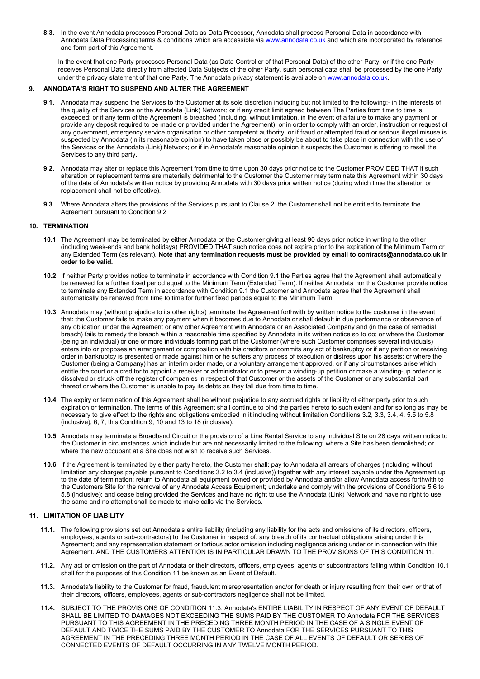**8.3.** In the event Annodata processes Personal Data as Data Processor, Annodata shall process Personal Data in accordance with Annodata Data Processing terms & conditions which are accessible vi[a www.annodata.co.uk](http://www.annodata.co.uk/) and which are incorporated by reference and form part of this Agreement.

In the event that one Party processes Personal Data (as Data Controller of that Personal Data) of the other Party, or if the one Party receives Personal Data directly from affected Data Subjects of the other Party, such personal data shall be processed by the one Party under the privacy statement of that one Party. The Annodata privacy statement is available o[n www.annodata.co.uk.](http://www.annodata.co.uk/)

### **9. ANNODATA'S RIGHT TO SUSPEND AND ALTER THE AGREEMENT**

- **9.1.** Annodata may suspend the Services to the Customer at its sole discretion including but not limited to the following:- in the interests of the quality of the Services or the Annodata (Link) Network; or if any credit limit agreed between The Parties from time to time is exceeded; or if any term of the Agreement is breached (including, without limitation, in the event of a failure to make any payment or provide any deposit required to be made or provided under the Agreement); or in order to comply with an order, instruction or request of any government, emergency service organisation or other competent authority; or if fraud or attempted fraud or serious illegal misuse is suspected by Annodata (in its reasonable opinion) to have taken place or possibly be about to take place in connection with the use of the Services or the Annodata (Link) Network; or if in Annodata's reasonable opinion it suspects the Customer is offering to resell the Services to any third party.
- <span id="page-4-1"></span>**9.2.** Annodata may alter or replace this Agreement from time to time upon 30 days prior notice to the Customer PROVIDED THAT if such alteration or replacement terms are materially detrimental to the Customer the Customer may terminate this Agreement within 30 days of the date of Annodata's written notice by providing Annodata with 30 days prior written notice (during which time the alteration or replacement shall not be effective).
- **9.3.** Where Annodata alters the provisions of the Services pursuant to Claus[e 2](#page-0-0) the Customer shall not be entitled to terminate the Agreement pursuant to Conditio[n 9.2](#page-4-1)

## <span id="page-4-2"></span>**10. TERMINATION**

- **10.1.** The Agreement may be terminated by either Annodata or the Customer giving at least 90 days prior notice in writing to the other (including week-ends and bank holidays) PROVIDED THAT such notice does not expire prior to the expiration of the Minimum Term or any Extended Term (as relevant). **Note that any termination requests must be provided by email to contracts@annodata.co.uk in order to be valid.**
- **10.2.** If neither Party provides notice to terminate in accordance with Condition [9.1](#page-4-2) the Parties agree that the Agreement shall automatically be renewed for a further fixed period equal to the Minimum Term (Extended Term). If neither Annodata nor the Customer provide notice to terminate any Extended Term in accordance with Conditio[n 9.1](#page-4-2) the Customer and Annodata agree that the Agreement shall automatically be renewed from time to time for further fixed periods equal to the Minimum Term.
- <span id="page-4-0"></span>**10.3.** Annodata may (without prejudice to its other rights) terminate the Agreement forthwith by written notice to the customer in the event that: the Customer fails to make any payment when it becomes due to Annodata or shall default in due performance or observance of any obligation under the Agreement or any other Agreement with Annodata or an Associated Company and (in the case of remedial breach) fails to remedy the breach within a reasonable time specified by Annodata in its written notice so to do; or where the Customer (being an individual) or one or more individuals forming part of the Customer (where such Customer comprises several individuals) enters into or proposes an arrangement or composition with his creditors or commits any act of bankruptcy or if any petition or receiving order in bankruptcy is presented or made against him or he suffers any process of execution or distress upon his assets; or where the Customer (being a Company) has an interim order made, or a voluntary arrangement approved, or if any circumstances arise which entitle the court or a creditor to appoint a receiver or administrator or to present a winding-up petition or make a winding-up order or is dissolved or struck off the register of companies in respect of that Customer or the assets of the Customer or any substantial part thereof or where the Customer is unable to pay its debts as they fall due from time to time.
- **10.4.** The expiry or termination of this Agreement shall be without prejudice to any accrued rights or liability of either party prior to such expiration or termination. The terms of this Agreement shall continue to bind the parties hereto to such extent and for so long as may be necessary to give effect to the rights and obligations embodied in it including without limitation Conditions 3.2, 3.3, 3.4, 4, 5.5 to 5.8 (inclusive), 6, 7, this Condition 9, 10 and 13 to 18 (inclusive).
- **10.5.** Annodata may terminate a Broadband Circuit or the provision of a Line Rental Service to any individual Site on 28 days written notice to the Customer in circumstances which include but are not necessarily limited to the following: where a Site has been demolished; or where the new occupant at a Site does not wish to receive such Services.
- **10.6.** If the Agreement is terminated by either party hereto, the Customer shall: pay to Annodata all arrears of charges (including without limitation any charges payable pursuant to Conditions 3.2 to 3.4 (inclusive)) together with any interest payable under the Agreement up to the date of termination; return to Annodata all equipment owned or provided by Annodata and/or allow Annodata access forthwith to the Customers Site for the removal of any Annodata Access Equipment; undertake and comply with the provisions of Conditions 5.6 to 5.8 (inclusive); and cease being provided the Services and have no right to use the Annodata (Link) Network and have no right to use the same and no attempt shall be made to make calls via the Services.

## <span id="page-4-4"></span>**11. LIMITATION OF LIABILITY**

- **11.1.** The following provisions set out Annodata's entire liability (including any liability for the acts and omissions of its directors, officers, employees, agents or sub-contractors) to the Customer in respect of: any breach of its contractual obligations arising under this Agreement; and any representation statement or tortious actor omission including negligence arising under or in connection with this Agreement. AND THE CUSTOMERS ATTENTION IS IN PARTICULAR DRAWN TO THE PROVISIONS OF THIS CONDITION 11.
- **11.2.** Any act or omission on the part of Annodata or their directors, officers, employees, agents or subcontractors falling within Condition 10.1 shall for the purposes of this Condition 11 be known as an Event of Default.
- <span id="page-4-3"></span>**11.3.** Annodata's liability to the Customer for fraud, fraudulent misrepresentation and/or for death or injury resulting from their own or that of their directors, officers, employees, agents or sub-contractors negligence shall not be limited.
- **11.4.** SUBJECT TO THE PROVISIONS OF CONDITIO[N 11.3,](#page-4-3) Annodata's ENTIRE LIABILITY IN RESPECT OF ANY EVENT OF DEFAULT SHALL BE LIMITED TO DAMAGES NOT EXCEEDING THE SUMS PAID BY THE CUSTOMER TO Annodata FOR THE SERVICES PURSUANT TO THIS AGREEMENT IN THE PRECEDING THREE MONTH PERIOD IN THE CASE OF A SINGLE EVENT OF DEFAULT AND TWICE THE SUMS PAID BY THE CUSTOMER TO Annodata FOR THE SERVICES PURSUANT TO THIS AGREEMENT IN THE PRECEDING THREE MONTH PERIOD IN THE CASE OF ALL EVENTS OF DEFAULT OR SERIES OF CONNECTED EVENTS OF DEFAULT OCCURRING IN ANY TWELVE MONTH PERIOD.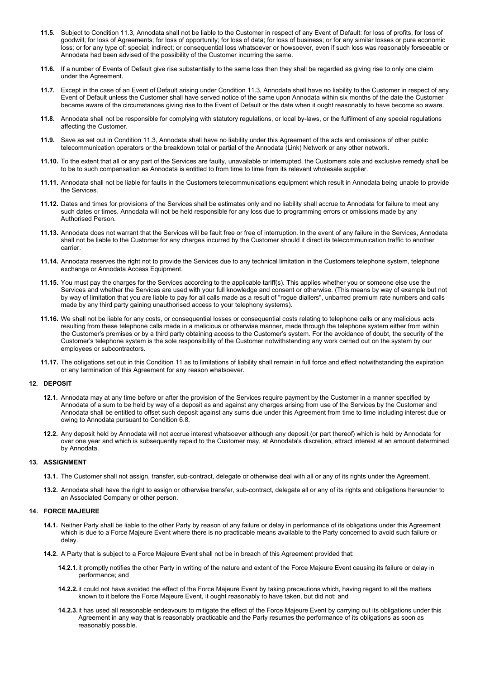- 11.5. Subject to Conditio[n 11.3,](#page-4-3) Annodata shall not be liable to the Customer in respect of any Event of Default: for loss of profits, for loss of goodwill; for loss of Agreements; for loss of opportunity; for loss of data; for loss of business; or for any similar losses or pure economic loss; or for any type of: special; indirect; or consequential loss whatsoever or howsoever, even if such loss was reasonably forseeable or Annodata had been advised of the possibility of the Customer incurring the same.
- **11.6.** If a number of Events of Default give rise substantially to the same loss then they shall be regarded as giving rise to only one claim under the Agreement.
- **11.7.** Except in the case of an Event of Default arising under Condition [11.3,](#page-4-3) Annodata shall have no liability to the Customer in respect of any Event of Default unless the Customer shall have served notice of the same upon Annodata within six months of the date the Customer became aware of the circumstances giving rise to the Event of Default or the date when it ought reasonably to have become so aware.
- **11.8.** Annodata shall not be responsible for complying with statutory regulations, or local by-laws, or the fulfilment of any special regulations affecting the Customer.
- **11.9.** Save as set out in Conditio[n 11.3,](#page-4-3) Annodata shall have no liability under this Agreement of the acts and omissions of other public telecommunication operators or the breakdown total or partial of the Annodata (Link) Network or any other network.
- **11.10.** To the extent that all or any part of the Services are faulty, unavailable or interrupted, the Customers sole and exclusive remedy shall be to be to such compensation as Annodata is entitled to from time to time from its relevant wholesale supplier.
- **11.11.** Annodata shall not be liable for faults in the Customers telecommunications equipment which result in Annodata being unable to provide the Services.
- **11.12.** Dates and times for provisions of the Services shall be estimates only and no liability shall accrue to Annodata for failure to meet any such dates or times. Annodata will not be held responsible for any loss due to programming errors or omissions made by any Authorised Person.
- **11.13.** Annodata does not warrant that the Services will be fault free or free of interruption. In the event of any failure in the Services, Annodata shall not be liable to the Customer for any charges incurred by the Customer should it direct its telecommunication traffic to another carrier.
- **11.14.** Annodata reserves the right not to provide the Services due to any technical limitation in the Customers telephone system, telephone exchange or Annodata Access Equipment.
- **11.15.** You must pay the charges for the Services according to the applicable tariff(s). This applies whether you or someone else use the Services and whether the Services are used with your full knowledge and consent or otherwise. (This means by way of example but not by way of limitation that you are liable to pay for all calls made as a result of "rogue diallers", unbarred premium rate numbers and calls made by any third party gaining unauthorised access to your telephony systems).
- **11.16.** We shall not be liable for any costs, or consequential losses or consequential costs relating to telephone calls or any malicious acts resulting from these telephone calls made in a malicious or otherwise manner, made through the telephone system either from within the Customer's premises or by a third party obtaining access to the Customer's system. For the avoidance of doubt, the security of the Customer's telephone system is the sole responsibility of the Customer notwithstanding any work carried out on the system by our employees or subcontractors.
- **11.17.** The obligations set out in this Conditio[n 11](#page-4-4) as to limitations of liability shall remain in full force and effect notwithstanding the expiration or any termination of this Agreement for any reason whatsoever.

### **12. DEPOSIT**

- **12.1.** Annodata may at any time before or after the provision of the Services require payment by the Customer in a manner specified by Annodata of a sum to be held by way of a deposit as and against any charges arising from use of the Services by the Customer and Annodata shall be entitled to offset such deposit against any sums due under this Agreement from time to time including interest due or owing to Annodata pursuant to Conditio[n 6.8.](#page-3-1)
- **12.2.** Any deposit held by Annodata will not accrue interest whatsoever although any deposit (or part thereof) which is held by Annodata for over one year and which is subsequently repaid to the Customer may, at Annodata's discretion, attract interest at an amount determined by Annodata.

# **13. ASSIGNMENT**

- **13.1.** The Customer shall not assign, transfer, sub-contract, delegate or otherwise deal with all or any of its rights under the Agreement.
- **13.2.** Annodata shall have the right to assign or otherwise transfer, sub-contract, delegate all or any of its rights and obligations hereunder to an Associated Company or other person.

#### **14. FORCE MAJEURE**

- **14.1.** Neither Party shall be liable to the other Party by reason of any failure or delay in performance of its obligations under this Agreement which is due to a Force Majeure Event where there is no practicable means available to the Party concerned to avoid such failure or delay.
- **14.2.** A Party that is subject to a Force Majeure Event shall not be in breach of this Agreement provided that:
	- **14.2.1.**it promptly notifies the other Party in writing of the nature and extent of the Force Majeure Event causing its failure or delay in performance; and
	- **14.2.2.**it could not have avoided the effect of the Force Majeure Event by taking precautions which, having regard to all the matters known to it before the Force Majeure Event, it ought reasonably to have taken, but did not; and
	- **14.2.3.**it has used all reasonable endeavours to mitigate the effect of the Force Majeure Event by carrying out its obligations under this Agreement in any way that is reasonably practicable and the Party resumes the performance of its obligations as soon as reasonably possible.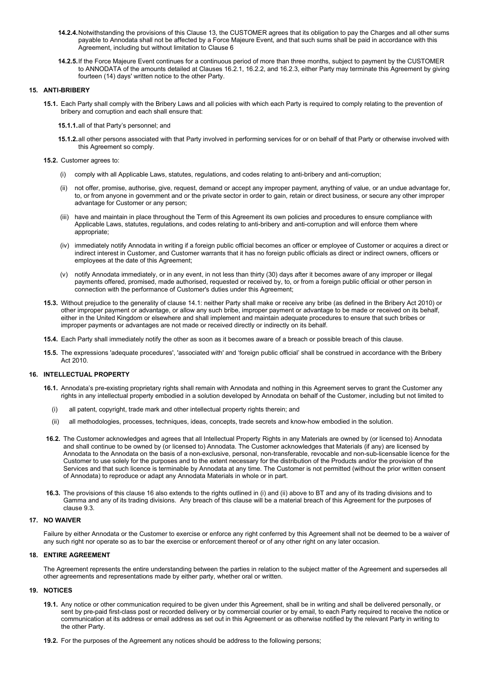- **14.2.4.**Notwithstanding the provisions of this Clause 13, the CUSTOMER agrees that its obligation to pay the Charges and all other sums payable to Annodata shall not be affected by a Force Majeure Event, and that such sums shall be paid in accordance with this Agreement, including but without limitation to Claus[e 6](#page-3-2)
- **14.2.5.**If the Force Majeure Event continues for a continuous period of more than three months, subject to payment by the CUSTOMER to ANNODATA of the amounts detailed at Clauses 16.2.1, 16.2.2, and 16.2.3, either Party may terminate this Agreement by giving fourteen (14) days' written notice to the other Party.

#### <span id="page-6-0"></span>**15. ANTI-BRIBERY**

**15.1.** Each Party shall comply with the Bribery Laws and all policies with which each Party is required to comply relating to the prevention of bribery and corruption and each shall ensure that:

**15.1.1.**all of that Party's personnel; and

- **15.1.2.**all other persons associated with that Party involved in performing services for or on behalf of that Party or otherwise involved with this Agreement so comply.
- **15.2.** Customer agrees to:
	- (i) comply with all Applicable Laws, statutes, regulations, and codes relating to anti-bribery and anti-corruption;
	- (ii) not offer, promise, authorise, give, request, demand or accept any improper payment, anything of value, or an undue advantage for, to, or from anyone in government and or the private sector in order to gain, retain or direct business, or secure any other improper advantage for Customer or any person;
	- (iii) have and maintain in place throughout the Term of this Agreement its own policies and procedures to ensure compliance with Applicable Laws, statutes, regulations, and codes relating to anti-bribery and anti-corruption and will enforce them where appropriate;
	- (iv) immediately notify Annodata in writing if a foreign public official becomes an officer or employee of Customer or acquires a direct or indirect interest in Customer, and Customer warrants that it has no foreign public officials as direct or indirect owners, officers or employees at the date of this Agreement;
	- (v) notify Annodata immediately, or in any event, in not less than thirty (30) days after it becomes aware of any improper or illegal payments offered, promised, made authorised, requested or received by, to, or from a foreign public official or other person in connection with the performance of Customer's duties under this Agreement;
- **15.3.** Without prejudice to the generality of clause [14.1:](#page-6-0) neither Party shall make or receive any bribe (as defined in the Bribery Act 2010) or other improper payment or advantage, or allow any such bribe, improper payment or advantage to be made or received on its behalf, either in the United Kingdom or elsewhere and shall implement and maintain adequate procedures to ensure that such bribes or improper payments or advantages are not made or received directly or indirectly on its behalf.
- **15.4.** Each Party shall immediately notify the other as soon as it becomes aware of a breach or possible breach of this clause.
- **15.5.** The expressions 'adequate procedures', 'associated with' and 'foreign public official' shall be construed in accordance with the Bribery Act 2010.

### <span id="page-6-1"></span>**16. INTELLECTUAL PROPERTY**

- **16.1.** Annodata's pre-existing proprietary rights shall remain with Annodata and nothing in this Agreement serves to grant the Customer any rights in any intellectual property embodied in a solution developed by Annodata on behalf of the Customer, including but not limited to
	- (i) all patent, copyright, trade mark and other intellectual property rights therein; and
	- (ii) all methodologies, processes, techniques, ideas, concepts, trade secrets and know-how embodied in the solution.
- **16.2.** The Customer acknowledges and agrees that all Intellectual Property Rights in any Materials are owned by (or licensed to) Annodata and shall continue to be owned by (or licensed to) Annodata. The Customer acknowledges that Materials (if any) are licensed by Annodata to the Annodata on the basis of a non-exclusive, personal, non-transferable, revocable and non-sub-licensable licence for the Customer to use solely for the purposes and to the extent necessary for the distribution of the Products and/or the provision of the Services and that such licence is terminable by Annodata at any time. The Customer is not permitted (without the prior written consent of Annodata) to reproduce or adapt any Annodata Materials in whole or in part.
- **16.3.** The provisions of this claus[e 16](#page-6-1) also extends to the rights outlined in (i) and (ii) above to BT and any of its trading divisions and to Gamma and any of its trading divisions. Any breach of this clause will be a material breach of this Agreement for the purposes of clause [9.3.](#page-4-0)

#### **17. NO WAIVER**

Failure by either Annodata or the Customer to exercise or enforce any right conferred by this Agreement shall not be deemed to be a waiver of any such right nor operate so as to bar the exercise or enforcement thereof or of any other right on any later occasion.

# **18. ENTIRE AGREEMENT**

The Agreement represents the entire understanding between the parties in relation to the subject matter of the Agreement and supersedes all other agreements and representations made by either party, whether oral or written.

#### <span id="page-6-2"></span>**19. NOTICES**

- **19.1.** Any notice or other communication required to be given under this Agreement, shall be in writing and shall be delivered personally, or sent by pre-paid first-class post or recorded delivery or by commercial courier or by email, to each Party required to receive the notice or communication at its address or email address as set out in this Agreement or as otherwise notified by the relevant Party in writing to the other Party.
- **19.2.** For the purposes of the Agreement any notices should be address to the following persons;